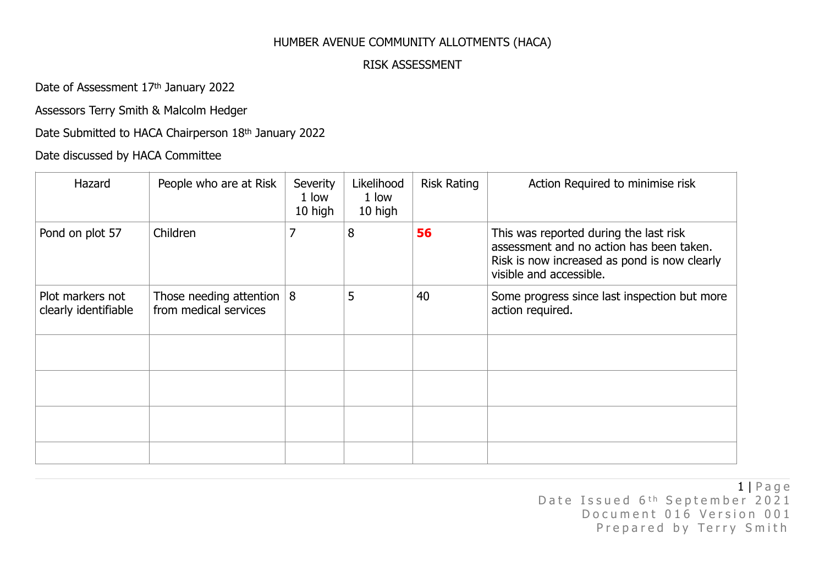## HUMBER AVENUE COMMUNITY ALLOTMENTS (HACA)

## RISK ASSESSMENT

Date of Assessment 17th January 2022

Assessors Terry Smith & Malcolm Hedger

## Date Submitted to HACA Chairperson 18th January 2022

## Date discussed by HACA Committee

| Hazard                                   | People who are at Risk                                 | Severity<br>1 low<br>10 high | Likelihood<br>1 low<br>10 high | <b>Risk Rating</b> | Action Required to minimise risk                                                                                                                              |
|------------------------------------------|--------------------------------------------------------|------------------------------|--------------------------------|--------------------|---------------------------------------------------------------------------------------------------------------------------------------------------------------|
| Pond on plot 57                          | Children                                               | 7                            | 8                              | 56                 | This was reported during the last risk<br>assessment and no action has been taken.<br>Risk is now increased as pond is now clearly<br>visible and accessible. |
| Plot markers not<br>clearly identifiable | Those needing attention $ 8 $<br>from medical services |                              | 5                              | 40                 | Some progress since last inspection but more<br>action required.                                                                                              |
|                                          |                                                        |                              |                                |                    |                                                                                                                                                               |
|                                          |                                                        |                              |                                |                    |                                                                                                                                                               |
|                                          |                                                        |                              |                                |                    |                                                                                                                                                               |
|                                          |                                                        |                              |                                |                    |                                                                                                                                                               |

1 | Page Date Issued 6<sup>th</sup> September 2021 Document 016 Version 001 Prepared by Terry Smith